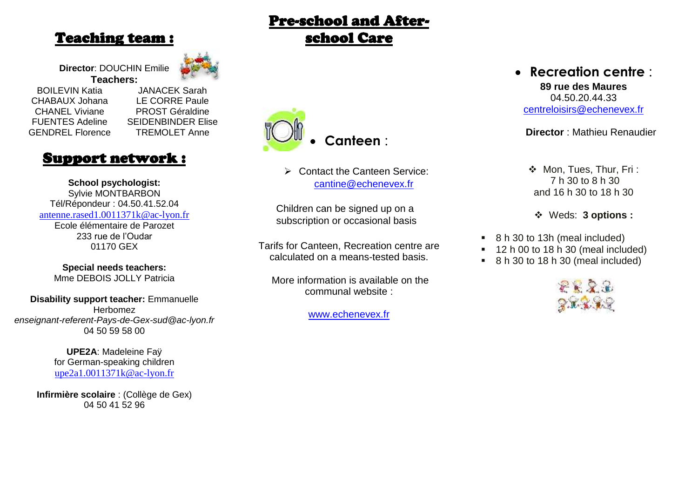### Teaching team :

**Director**: DOUCHIN Emilie

**Teachers:** BOILEVIN Katia CHABAUX Johana CHANEL Viviane FUENTES Adeline GENDREL Florence

JANACEK Sarah LE CORRE Paule PROST Géraldine SEIDENBINDER Elise TREMOLET Anne

## Support network :

**School psychologist:** Sylvie MONTBARBON Tél/Répondeur : 04.50.41.52.04 [antenne.rased1.0011371k@ac-lyon.fr](mailto:antenne.rased1.0011371k@ac-lyon.fr) Ecole élémentaire de Parozet 233 rue de l'Oudar 01170 GEX

**Special needs teachers:** Mme DEBOIS JOLLY Patricia

**Disability support teacher:** Emmanuelle Herbomez *[enseignant-referent-Pays-de-Gex-sud@ac-lyon.fr](mailto:enseignant-referent-Pays-de-Gex-sud@ac-lyon.fr)* 04 50 59 58 00

> **UPE2A**: Madeleine Faÿ for German-speaking children [upe2a1.0011371k@ac-lyon.fr](mailto:upe2a1.0011371k@ac-lyon.fr)

**Infirmière scolaire** : (Collège de Gex) 04 50 41 52 96

# **Canteen** :

Pre-school and After-

school Care

**▶ Contact the Canteen Service:** [cantine@echenevex.fr](mailto:cantine@echenevex.fr)

Children can be signed up on a subscription or occasional basis

Tarifs for Canteen, Recreation centre are calculated on a means-tested basis.

More information is available on the communal website :

[www.echenevex.fr](http://www.echenevex.fr/)

## **Recreation centre** :

**89 rue des Maures** 04.50.20.44.33 [centreloisirs@echenevex.fr](mailto:centreloisirs@echenevex.fr)

**Director** : Mathieu Renaudier

- ◆ Mon, Tues, Thur, Fri: 7 h 30 to 8 h 30 and 16 h 30 to 18 h 30
- Weds: **3 options :**
- 8 h 30 to 13h (meal included)
- 12 h 00 to 18 h 30 (meal included)
- 8 h 30 to 18 h 30 (meal included)